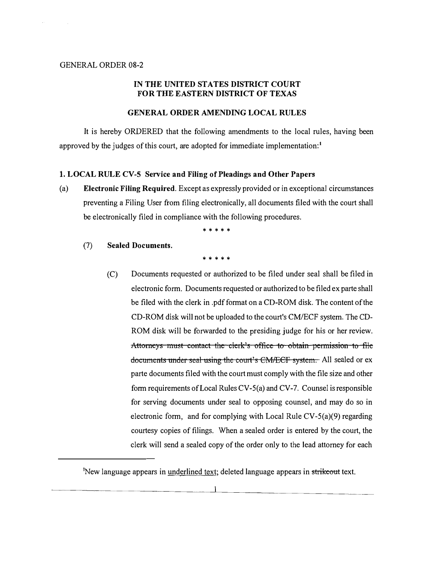#### GENERAL ORDER 08-2

# IN THE UNITED STATES DISTRICT COURT FOR THE EASTERN DISTRICT OF TEXAS

#### GENERAL ORDER AMENDING LOCAL RULES

It is hereby ORDERED that the following amendments to the local rules, having been approved by the judges of this court, are adopted for immediate implementation:1

## 1. LOCAL RULE CV-5 Service and Filing of Pleadings and Other Papers

(a) Electronic Filing Required. Except as expressly provided or in exceptional circumstances preventing a Filing User from filing electronically, all documents filed with the court shall be electronically filed in compliance with the following procedures.

\* \* \* \* \*

(7) Sealed Documents.

\* \* \* \* \*

(C) Documents requested or authorized to be filed under seal shall be filed in electronic form. Documents requested or authorized to be filed ex parte shall be filed with the clerk in .pdf format on a CD-ROM disk. The content of the CD-ROM disk will not be uploaded to the court's CM/ECF system. The CD-ROM disk will be forwarded to the presiding judge for his or her review. Attorneys must contact the clerk's office to obtain permission to file documents under seal using the court's CM/ECF system. All sealed or ex parte documents filed with the court must comply with the file size and other form requirements of Local Rules CV-5(a) and CV-7. Counsel is responsible for serving documents under seal to opposing counsel, and may do so in electronic form, and for complying with Local Rule  $CV-5(a)(9)$  regarding courtesy copies of filings. When a sealed order is entered by the court, the clerk will send a sealed copy of the order only to the lead attorney for each

<sup>&</sup>lt;sup>1</sup>New language appears in underlined text; deleted language appears in strikeout text.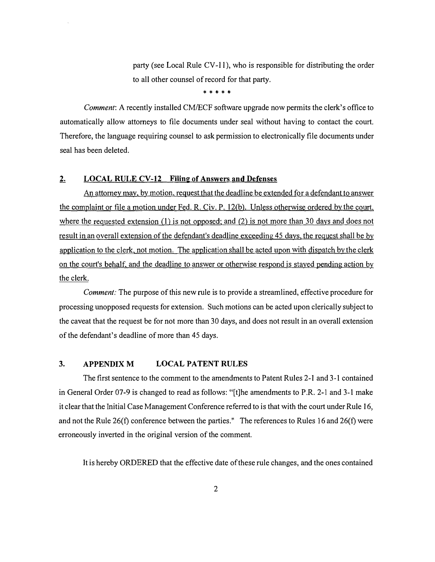party (see Local Rule  $CV-11$ ), who is responsible for distributing the order to all other counsel of record for that party.

\* \* \* \* \*

Comment: A recently installed CM/ECF software upgrade now permits the clerk's office to automatically allow attorneys to file documents under seal without having to contact the court. Therefore, the language requiring counsel to ask permission to electronically file documents under seal has been deleted.

## 2. LOCAL RULE CV-12 Filing of Answers and Defenses

An attorney may, by motion, request that the deadline be extended for a defendant to answer the complaint or file a motion under Fed. R. Civ. P. 12(b). Unless otherwise ordered by the court, where the requested extension  $(1)$  is not opposed; and  $(2)$  is not more than 30 days and does not result in an overall extension of the defendant's deadline exceeding 45 days, the request shall be by application to the clerk, not motion. The application shall be acted upon with dispatch by the clerk on the court's behalf, and the deadline to answer or otherwise respond is stayed pending action by the clerk.

Comment: The purpose of this new rule is to provide a streamlined, effective procedure for processing unopposed requests for extension. Such motions can be acted upon clerically subject to the caveat that the request be for not more than 30 days, and does not result in an overall extension of the defendant's deadline of more than 45 days.

## 3. APPENDIX M LOCAL PATENT RULES

The first sentence to the comment to the amendments to Patent Rules 2-1 and 3-1 contained in General Order 07-9 is changed to read as follows: "[t]he amendments to P.R. 2-1 and 3-1 make it clear that the Initial Case Management Conference referred to is that with the court under Rule 16, and not the Rule 26(f) conference between the parties." The references to Rules 16 and 26(f) were erroneously inverted in the original version of the comment.

It is hereby ORDERED that the effective date of these rule changes, and the ones contained